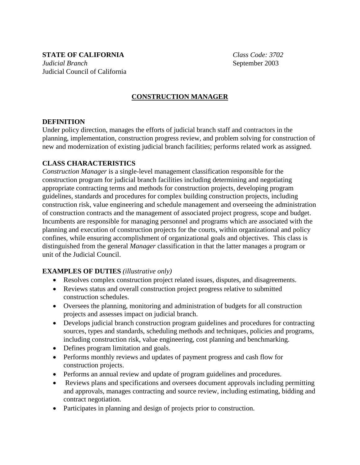**STATE OF CALIFORNIA** *Class Code: 3702 Judicial Branch* **September 2003** Judicial Council of California

# **CONSTRUCTION MANAGER**

#### **DEFINITION**

Under policy direction, manages the efforts of judicial branch staff and contractors in the planning, implementation, construction progress review, and problem solving for construction of new and modernization of existing judicial branch facilities; performs related work as assigned.

#### **CLASS CHARACTERISTICS**

*Construction Manager* is a single-level management classification responsible for the construction program for judicial branch facilities including determining and negotiating appropriate contracting terms and methods for construction projects, developing program guidelines, standards and procedures for complex building construction projects, including construction risk, value engineering and schedule management and overseeing the administration of construction contracts and the management of associated project progress, scope and budget. Incumbents are responsible for managing personnel and programs which are associated with the planning and execution of construction projects for the courts, within organizational and policy confines, while ensuring accomplishment of organizational goals and objectives. This class is distinguished from the general *Manager* classification in that the latter manages a program or unit of the Judicial Council.

#### **EXAMPLES OF DUTIES** *(illustrative only)*

- Resolves complex construction project related issues, disputes, and disagreements.
- Reviews status and overall construction project progress relative to submitted construction schedules.
- Oversees the planning, monitoring and administration of budgets for all construction projects and assesses impact on judicial branch.
- Develops judicial branch construction program guidelines and procedures for contracting sources, types and standards, scheduling methods and techniques, policies and programs, including construction risk, value engineering, cost planning and benchmarking.
- Defines program limitation and goals.
- Performs monthly reviews and updates of payment progress and cash flow for construction projects.
- Performs an annual review and update of program guidelines and procedures.
- Reviews plans and specifications and oversees document approvals including permitting and approvals, manages contracting and source review, including estimating, bidding and contract negotiation.
- Participates in planning and design of projects prior to construction.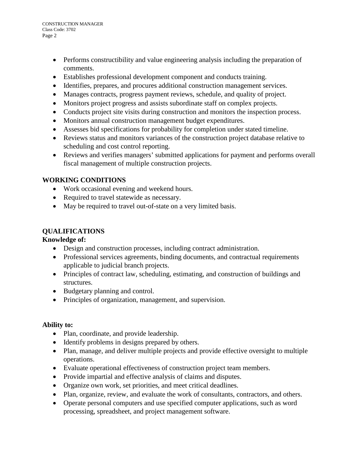CONSTRUCTION MANAGER Class Code: 3702 Page 2

- Performs constructibility and value engineering analysis including the preparation of comments.
- Establishes professional development component and conducts training.
- Identifies, prepares, and procures additional construction management services.
- Manages contracts, progress payment reviews, schedule, and quality of project.
- Monitors project progress and assists subordinate staff on complex projects.
- Conducts project site visits during construction and monitors the inspection process.
- Monitors annual construction management budget expenditures.
- Assesses bid specifications for probability for completion under stated timeline.
- Reviews status and monitors variances of the construction project database relative to scheduling and cost control reporting.
- Reviews and verifies managers' submitted applications for payment and performs overall fiscal management of multiple construction projects.

## **WORKING CONDITIONS**

- Work occasional evening and weekend hours.
- Required to travel statewide as necessary.
- May be required to travel out-of-state on a very limited basis.

## **QUALIFICATIONS**

## **Knowledge of:**

- Design and construction processes, including contract administration.
- Professional services agreements, binding documents, and contractual requirements applicable to judicial branch projects.
- Principles of contract law, scheduling, estimating, and construction of buildings and structures.
- Budgetary planning and control.
- Principles of organization, management, and supervision.

## **Ability to:**

- Plan, coordinate, and provide leadership.
- Identify problems in designs prepared by others.
- Plan, manage, and deliver multiple projects and provide effective oversight to multiple operations.
- Evaluate operational effectiveness of construction project team members.
- Provide impartial and effective analysis of claims and disputes.
- Organize own work, set priorities, and meet critical deadlines.
- Plan, organize, review, and evaluate the work of consultants, contractors, and others.
- Operate personal computers and use specified computer applications, such as word processing, spreadsheet, and project management software.